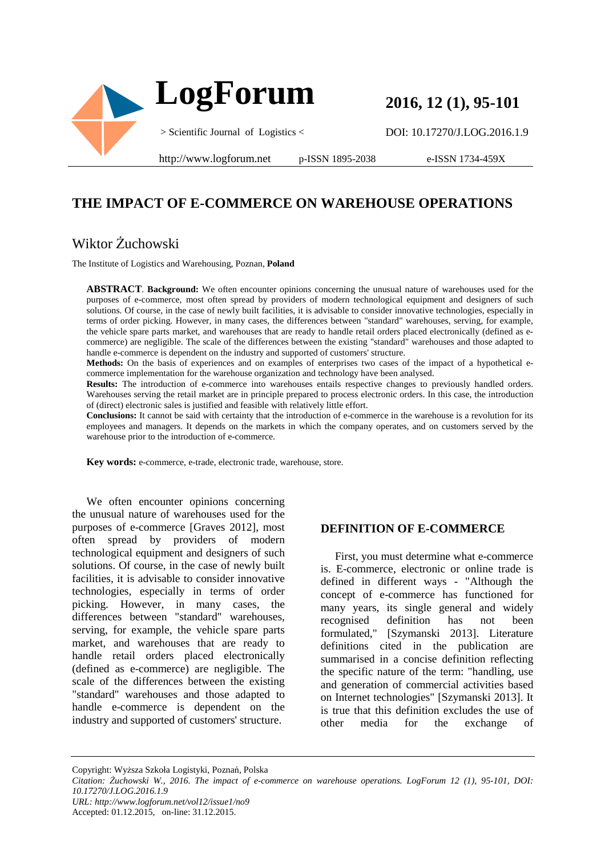

**2016, 12 (1), 95-101** 

DOI: 10.17270/J.LOG.2016.1.9

http://www.logforum.net p-ISSN 1895-2038

e-ISSN 1734-459X

## **THE IMPACT OF E-COMMERCE ON WAREHOUSE OPERATIONS**

## Wiktor Żuchowski

The Institute of Logistics and Warehousing, Poznan, **Poland**

**ABSTRACT**. **Background:** We often encounter opinions concerning the unusual nature of warehouses used for the purposes of e-commerce, most often spread by providers of modern technological equipment and designers of such solutions. Of course, in the case of newly built facilities, it is advisable to consider innovative technologies, especially in terms of order picking. However, in many cases, the differences between "standard" warehouses, serving, for example, the vehicle spare parts market, and warehouses that are ready to handle retail orders placed electronically (defined as ecommerce) are negligible. The scale of the differences between the existing "standard" warehouses and those adapted to handle e-commerce is dependent on the industry and supported of customers' structure.

**Methods:** On the basis of experiences and on examples of enterprises two cases of the impact of a hypothetical ecommerce implementation for the warehouse organization and technology have been analysed.

**Results:** The introduction of e-commerce into warehouses entails respective changes to previously handled orders. Warehouses serving the retail market are in principle prepared to process electronic orders. In this case, the introduction of (direct) electronic sales is justified and feasible with relatively little effort.

**Conclusions:** It cannot be said with certainty that the introduction of e-commerce in the warehouse is a revolution for its employees and managers. It depends on the markets in which the company operates, and on customers served by the warehouse prior to the introduction of e-commerce.

**Key words:** e-commerce, e-trade, electronic trade, warehouse, store.

We often encounter opinions concerning the unusual nature of warehouses used for the purposes of e-commerce [Graves 2012], most often spread by providers of modern technological equipment and designers of such solutions. Of course, in the case of newly built facilities, it is advisable to consider innovative technologies, especially in terms of order picking. However, in many cases, the differences between "standard" warehouses, serving, for example, the vehicle spare parts market, and warehouses that are ready to handle retail orders placed electronically (defined as e-commerce) are negligible. The scale of the differences between the existing "standard" warehouses and those adapted to handle e-commerce is dependent on the industry and supported of customers' structure.

#### **DEFINITION OF E-COMMERCE**

First, you must determine what e-commerce is. E-commerce, electronic or online trade is defined in different ways - "Although the concept of e-commerce has functioned for many years, its single general and widely recognised definition has not been formulated," [Szymanski 2013]. Literature definitions cited in the publication are summarised in a concise definition reflecting the specific nature of the term: "handling, use and generation of commercial activities based on Internet technologies" [Szymanski 2013]. It is true that this definition excludes the use of other media for the exchange of

Copyright: Wyższa Szkoła Logistyki, Poznań, Polska

*Citation: Żuchowski W., 2016. The impact of e-commerce on warehouse operations. LogForum 12 (1), 95-101, DOI: 10.17270/J.LOG.2016.1.9* 

*URL: http://www.logforum.net/vol12/issue1/no9*

Accepted: 01.12.2015, on-line: 31.12.2015.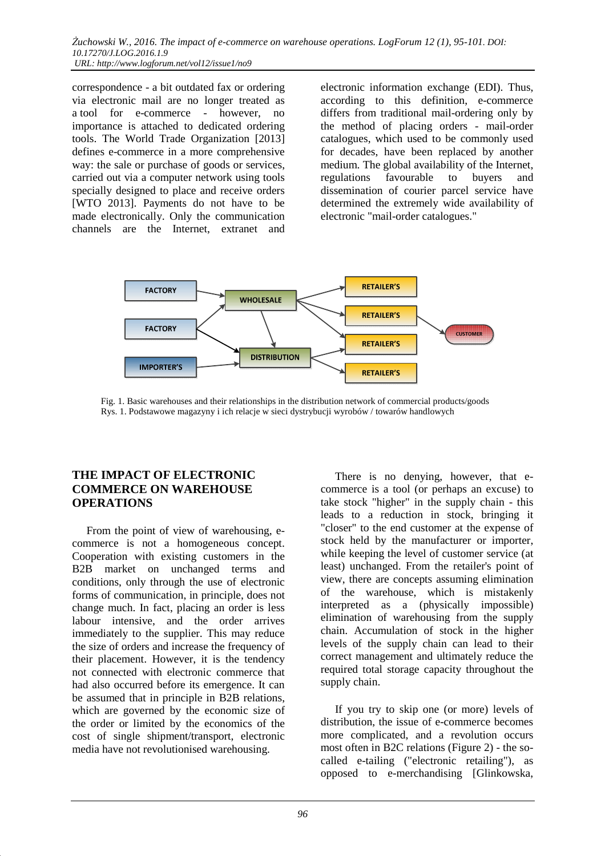correspondence - a bit outdated fax or ordering via electronic mail are no longer treated as a tool for e-commerce - however, no importance is attached to dedicated ordering tools. The World Trade Organization [2013] defines e-commerce in a more comprehensive way: the sale or purchase of goods or services, carried out via a computer network using tools specially designed to place and receive orders [WTO 2013]. Payments do not have to be made electronically. Only the communication channels are the Internet, extranet and

electronic information exchange (EDI). Thus, according to this definition, e-commerce differs from traditional mail-ordering only by the method of placing orders - mail-order catalogues, which used to be commonly used for decades, have been replaced by another medium. The global availability of the Internet, regulations favourable to buyers and dissemination of courier parcel service have determined the extremely wide availability of electronic "mail-order catalogues."



 Fig. 1. Basic warehouses and their relationships in the distribution network of commercial products/goods Rys. 1. Podstawowe magazyny i ich relacje w sieci dystrybucji wyrobów / towarów handlowych

#### **THE IMPACT OF ELECTRONIC COMMERCE ON WAREHOUSE OPERATIONS**

From the point of view of warehousing, ecommerce is not a homogeneous concept. Cooperation with existing customers in the B2B market on unchanged terms and conditions, only through the use of electronic forms of communication, in principle, does not change much. In fact, placing an order is less labour intensive, and the order arrives immediately to the supplier. This may reduce the size of orders and increase the frequency of their placement. However, it is the tendency not connected with electronic commerce that had also occurred before its emergence. It can be assumed that in principle in B2B relations, which are governed by the economic size of the order or limited by the economics of the cost of single shipment/transport, electronic media have not revolutionised warehousing.

There is no denying, however, that ecommerce is a tool (or perhaps an excuse) to take stock "higher" in the supply chain - this leads to a reduction in stock, bringing it "closer" to the end customer at the expense of stock held by the manufacturer or importer, while keeping the level of customer service (at least) unchanged. From the retailer's point of view, there are concepts assuming elimination of the warehouse, which is mistakenly interpreted as a (physically impossible) elimination of warehousing from the supply chain. Accumulation of stock in the higher levels of the supply chain can lead to their correct management and ultimately reduce the required total storage capacity throughout the supply chain.

If you try to skip one (or more) levels of distribution, the issue of e-commerce becomes more complicated, and a revolution occurs most often in B2C relations (Figure 2) - the socalled e-tailing ("electronic retailing"), as opposed to e-merchandising [Glinkowska,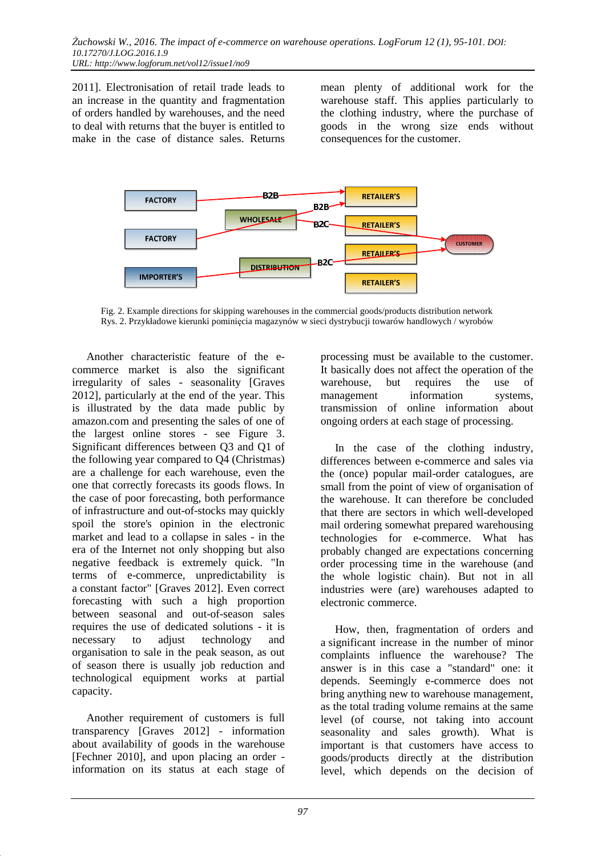2011]. Electronisation of retail trade leads to an increase in the quantity and fragmentation of orders handled by warehouses, and the need to deal with returns that the buyer is entitled to make in the case of distance sales. Returns

mean plenty of additional work for the warehouse staff. This applies particularly to the clothing industry, where the purchase of goods in the wrong size ends without consequences for the customer.



 Fig. 2. Example directions for skipping warehouses in the commercial goods/products distribution network Rys. 2. Przykładowe kierunki pominięcia magazynów w sieci dystrybucji towarów handlowych / wyrobów

Another characteristic feature of the ecommerce market is also the significant irregularity of sales - seasonality [Graves 2012], particularly at the end of the year. This is illustrated by the data made public by amazon.com and presenting the sales of one of the largest online stores - see Figure 3. Significant differences between Q3 and Q1 of the following year compared to Q4 (Christmas) are a challenge for each warehouse, even the one that correctly forecasts its goods flows. In the case of poor forecasting, both performance of infrastructure and out-of-stocks may quickly spoil the store's opinion in the electronic market and lead to a collapse in sales - in the era of the Internet not only shopping but also negative feedback is extremely quick. "In terms of e-commerce, unpredictability is a constant factor" [Graves 2012]. Even correct forecasting with such a high proportion between seasonal and out-of-season sales requires the use of dedicated solutions - it is necessary to adjust technology and organisation to sale in the peak season, as out of season there is usually job reduction and technological equipment works at partial capacity.

Another requirement of customers is full transparency [Graves 2012] - information about availability of goods in the warehouse [Fechner 2010], and upon placing an order information on its status at each stage of processing must be available to the customer. It basically does not affect the operation of the warehouse, but requires the use of management information systems, transmission of online information about ongoing orders at each stage of processing.

In the case of the clothing industry, differences between e-commerce and sales via the (once) popular mail-order catalogues, are small from the point of view of organisation of the warehouse. It can therefore be concluded that there are sectors in which well-developed mail ordering somewhat prepared warehousing technologies for e-commerce. What has probably changed are expectations concerning order processing time in the warehouse (and the whole logistic chain). But not in all industries were (are) warehouses adapted to electronic commerce.

How, then, fragmentation of orders and a significant increase in the number of minor complaints influence the warehouse? The answer is in this case a "standard" one: it depends. Seemingly e-commerce does not bring anything new to warehouse management, as the total trading volume remains at the same level (of course, not taking into account seasonality and sales growth). What is important is that customers have access to goods/products directly at the distribution level, which depends on the decision of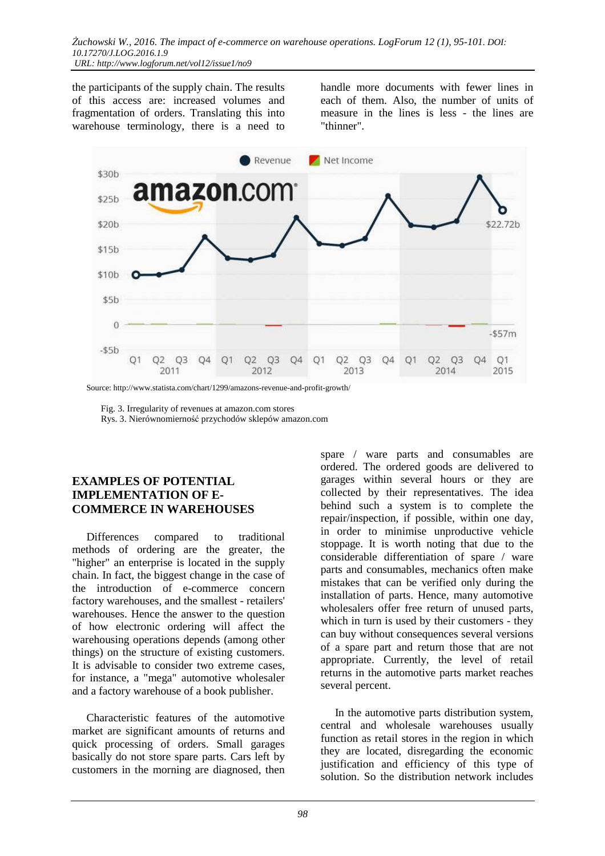the participants of the supply chain. The results of this access are: increased volumes and fragmentation of orders. Translating this into warehouse terminology, there is a need to

handle more documents with fewer lines in each of them. Also, the number of units of measure in the lines is less - the lines are "thinner".



Source: http://www.statista.com/chart/1299/amazons-revenue-and-profit-growth/

Fig. 3. Irregularity of revenues at amazon.com stores

Rys. 3. Nierównomierność przychodów sklepów amazon.com

#### **EXAMPLES OF POTENTIAL IMPLEMENTATION OF E-COMMERCE IN WAREHOUSES**

Differences compared to traditional methods of ordering are the greater, the "higher" an enterprise is located in the supply chain. In fact, the biggest change in the case of the introduction of e-commerce concern factory warehouses, and the smallest - retailers' warehouses. Hence the answer to the question of how electronic ordering will affect the warehousing operations depends (among other things) on the structure of existing customers. It is advisable to consider two extreme cases, for instance, a "mega" automotive wholesaler and a factory warehouse of a book publisher.

Characteristic features of the automotive market are significant amounts of returns and quick processing of orders. Small garages basically do not store spare parts. Cars left by customers in the morning are diagnosed, then spare / ware parts and consumables are ordered. The ordered goods are delivered to garages within several hours or they are collected by their representatives. The idea behind such a system is to complete the repair/inspection, if possible, within one day, in order to minimise unproductive vehicle stoppage. It is worth noting that due to the considerable differentiation of spare / ware parts and consumables, mechanics often make mistakes that can be verified only during the installation of parts. Hence, many automotive wholesalers offer free return of unused parts, which in turn is used by their customers - they can buy without consequences several versions of a spare part and return those that are not appropriate. Currently, the level of retail returns in the automotive parts market reaches several percent.

In the automotive parts distribution system, central and wholesale warehouses usually function as retail stores in the region in which they are located, disregarding the economic justification and efficiency of this type of solution. So the distribution network includes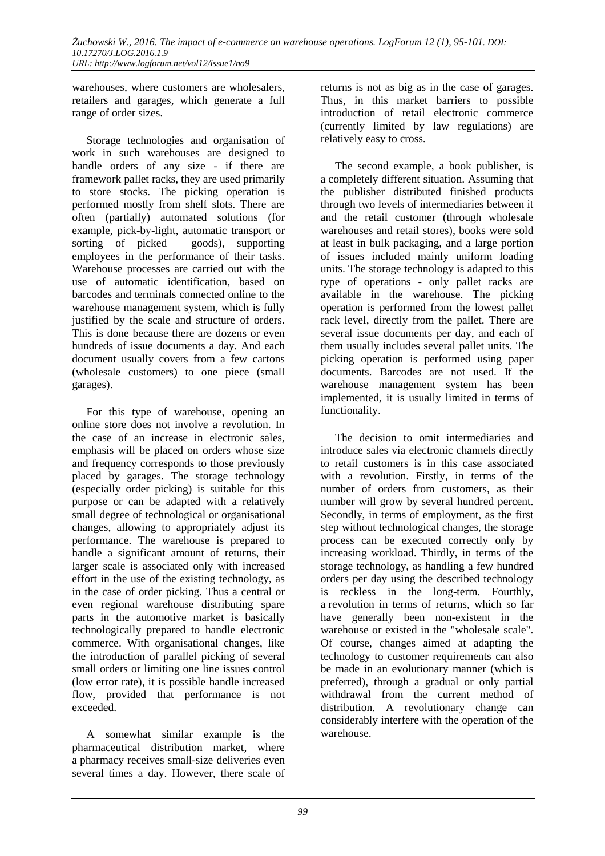warehouses, where customers are wholesalers, retailers and garages, which generate a full range of order sizes.

Storage technologies and organisation of work in such warehouses are designed to handle orders of any size - if there are framework pallet racks, they are used primarily to store stocks. The picking operation is performed mostly from shelf slots. There are often (partially) automated solutions (for example, pick-by-light, automatic transport or sorting of picked goods), supporting employees in the performance of their tasks. Warehouse processes are carried out with the use of automatic identification, based on barcodes and terminals connected online to the warehouse management system, which is fully justified by the scale and structure of orders. This is done because there are dozens or even hundreds of issue documents a day. And each document usually covers from a few cartons (wholesale customers) to one piece (small garages).

For this type of warehouse, opening an online store does not involve a revolution. In the case of an increase in electronic sales, emphasis will be placed on orders whose size and frequency corresponds to those previously placed by garages. The storage technology (especially order picking) is suitable for this purpose or can be adapted with a relatively small degree of technological or organisational changes, allowing to appropriately adjust its performance. The warehouse is prepared to handle a significant amount of returns, their larger scale is associated only with increased effort in the use of the existing technology, as in the case of order picking. Thus a central or even regional warehouse distributing spare parts in the automotive market is basically technologically prepared to handle electronic commerce. With organisational changes, like the introduction of parallel picking of several small orders or limiting one line issues control (low error rate), it is possible handle increased flow, provided that performance is not exceeded.

A somewhat similar example is the pharmaceutical distribution market, where a pharmacy receives small-size deliveries even several times a day. However, there scale of

returns is not as big as in the case of garages. Thus, in this market barriers to possible introduction of retail electronic commerce (currently limited by law regulations) are relatively easy to cross.

The second example, a book publisher, is a completely different situation. Assuming that the publisher distributed finished products through two levels of intermediaries between it and the retail customer (through wholesale warehouses and retail stores), books were sold at least in bulk packaging, and a large portion of issues included mainly uniform loading units. The storage technology is adapted to this type of operations - only pallet racks are available in the warehouse. The picking operation is performed from the lowest pallet rack level, directly from the pallet. There are several issue documents per day, and each of them usually includes several pallet units. The picking operation is performed using paper documents. Barcodes are not used. If the warehouse management system has been implemented, it is usually limited in terms of functionality.

The decision to omit intermediaries and introduce sales via electronic channels directly to retail customers is in this case associated with a revolution. Firstly, in terms of the number of orders from customers, as their number will grow by several hundred percent. Secondly, in terms of employment, as the first step without technological changes, the storage process can be executed correctly only by increasing workload. Thirdly, in terms of the storage technology, as handling a few hundred orders per day using the described technology is reckless in the long-term. Fourthly, a revolution in terms of returns, which so far have generally been non-existent in the warehouse or existed in the "wholesale scale". Of course, changes aimed at adapting the technology to customer requirements can also be made in an evolutionary manner (which is preferred), through a gradual or only partial withdrawal from the current method of distribution. A revolutionary change can considerably interfere with the operation of the warehouse.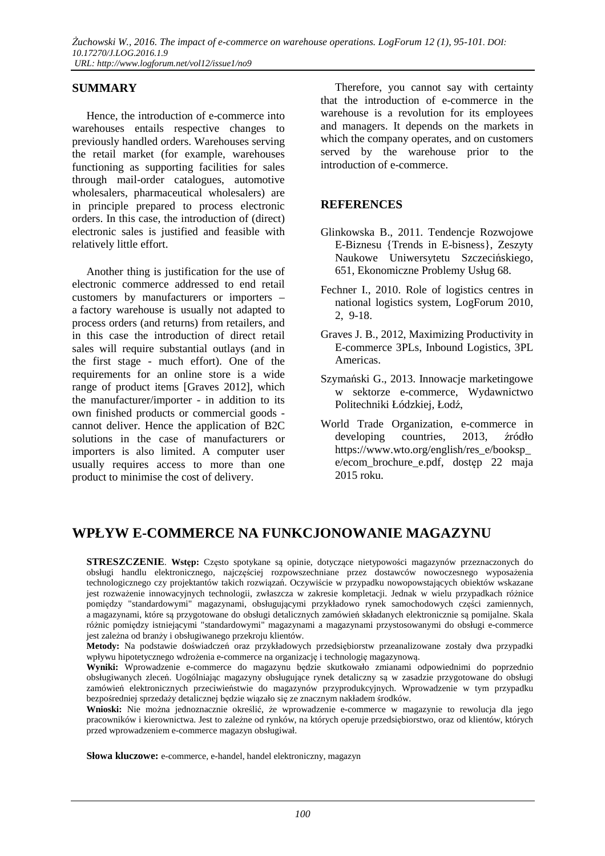### **SUMMARY**

Hence, the introduction of e-commerce into warehouses entails respective changes to previously handled orders. Warehouses serving the retail market (for example, warehouses functioning as supporting facilities for sales through mail-order catalogues, automotive wholesalers, pharmaceutical wholesalers) are in principle prepared to process electronic orders. In this case, the introduction of (direct) electronic sales is justified and feasible with relatively little effort.

Another thing is justification for the use of electronic commerce addressed to end retail customers by manufacturers or importers – a factory warehouse is usually not adapted to process orders (and returns) from retailers, and in this case the introduction of direct retail sales will require substantial outlays (and in the first stage - much effort). One of the requirements for an online store is a wide range of product items [Graves 2012], which the manufacturer/importer - in addition to its own finished products or commercial goods cannot deliver. Hence the application of B2C solutions in the case of manufacturers or importers is also limited. A computer user usually requires access to more than one product to minimise the cost of delivery.

Therefore, you cannot say with certainty that the introduction of e-commerce in the warehouse is a revolution for its employees and managers. It depends on the markets in which the company operates, and on customers served by the warehouse prior to the introduction of e-commerce.

### **REFERENCES**

- Glinkowska B., 2011. Tendencje Rozwojowe E-Biznesu {Trends in E-bisness}, Zeszyty Naukowe Uniwersytetu Szczecińskiego, 651, Ekonomiczne Problemy Usług 68.
- Fechner I., 2010. Role of logistics centres in national logistics system, LogForum 2010, 2, 9-18.
- Graves J. B., 2012, Maximizing Productivity in E-commerce 3PLs, Inbound Logistics, 3PL Americas.
- Szymański G., 2013. Innowacje marketingowe w sektorze e-commerce, Wydawnictwo Politechniki Łódzkiej, Łodź,
- World Trade Organization, e-commerce in developing countries, 2013, źródło https://www.wto.org/english/res\_e/booksp\_ e/ecom\_brochure\_e.pdf, dostęp 22 maja 2015 roku.

# **WPŁYW E-COMMERCE NA FUNKCJONOWANIE MAGAZYNU**

**STRESZCZENIE**. **Wstęp:** Często spotykane są opinie, dotyczące nietypowości magazynów przeznaczonych do obsługi handlu elektronicznego, najczęściej rozpowszechniane przez dostawców nowoczesnego wyposażenia technologicznego czy projektantów takich rozwiązań. Oczywiście w przypadku nowopowstających obiektów wskazane jest rozważenie innowacyjnych technologii, zwłaszcza w zakresie kompletacji. Jednak w wielu przypadkach różnice pomiędzy "standardowymi" magazynami, obsługującymi przykładowo rynek samochodowych części zamiennych, a magazynami, które są przygotowane do obsługi detalicznych zamówień składanych elektronicznie są pomijalne. Skala różnic pomiędzy istniejącymi "standardowymi" magazynami a magazynami przystosowanymi do obsługi e-commerce jest zależna od branży i obsługiwanego przekroju klientów.

**Metody:** Na podstawie doświadczeń oraz przykładowych przedsiębiorstw przeanalizowane zostały dwa przypadki wpływu hipotetycznego wdrożenia e-commerce na organizację i technologię magazynową.

**Wyniki:** Wprowadzenie e-commerce do magazynu będzie skutkowało zmianami odpowiednimi do poprzednio obsługiwanych zleceń. Uogólniając magazyny obsługujące rynek detaliczny są w zasadzie przygotowane do obsługi zamówień elektronicznych przeciwieństwie do magazynów przyprodukcyjnych. Wprowadzenie w tym przypadku bezpośredniej sprzedaży detalicznej będzie wiązało się ze znacznym nakładem środków.

**Wnioski:** Nie można jednoznacznie określić, że wprowadzenie e-commerce w magazynie to rewolucja dla jego pracowników i kierownictwa. Jest to zależne od rynków, na których operuje przedsiębiorstwo, oraz od klientów, których przed wprowadzeniem e-commerce magazyn obsługiwał.

**Słowa kluczowe:** e-commerce, e-handel, handel elektroniczny, magazyn